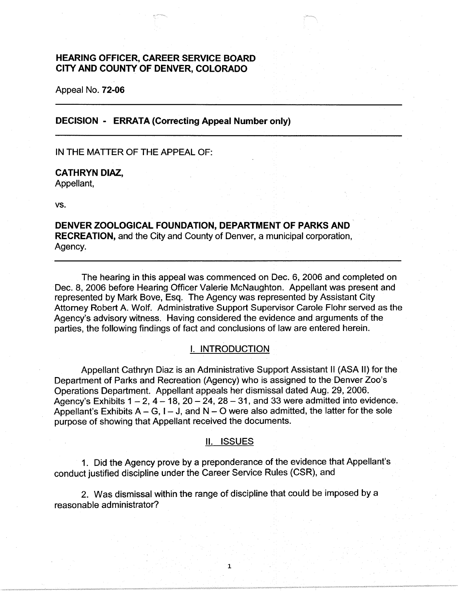# **HEARING OFFICER, CAREER SERVICE BOARD CITY AND COUNTY OF DENVER, COLORADO**

Appeal No. **72-06** 

**DECISION** - **ERRATA (Correcting Appeal Number only)** 

IN THE MATTER OF THE APPEAL OF:

## **CATHRYN DIAZ,**

Appellant,

vs.

**DENVER ZOOLOGICAL FOUNDATION, DEPARTMENT OF PARKS AND RECREATION,** and the City and County of Denver, a municipal corporation, Agency.

The hearing in this appeal was commenced on Dec. 6, 2006 and completed on Dec. 8, 2006 before Hearing Officer Valerie McNaughton. Appellant was present and represented by Mark Bove, Esq. The Agency was represented by Assistant City Attorney Robert A. Wolf. Administrative Support Supervisor Carole Flohr served as the Agency's advisory witness. Having considered the evidence and arguments of the parties, the following findings of fact and conclusions of law are entered herein.

## I. INTRODUCTION

Appellant Cathryn Diaz is an Administrative Support Assistant II (ASA II) for the Department of Parks and Recreation (Agency) who is assigned to the Denver Zoo's Operations Department. Appellant appeals her dismissal dated Aug. 29, 2006. Agency's Exhibits  $1 - 2$ ,  $4 - 18$ ,  $20 - 24$ ,  $28 - 31$ , and 33 were admitted into evidence. Appellant's Exhibits  $A - G$ ,  $I - J$ , and  $N - O$  were also admitted, the latter for the sole purpose of showing that Appellant received the documents.

#### II. ISSUES

1

1. Did the Agency prove by a preponderance of the evidence that Appellant's conduct justified discipline under the Career Service Rules (CSR), and

2. Was dismissal within the range of discipline that could be imposed by a reasonable administrator?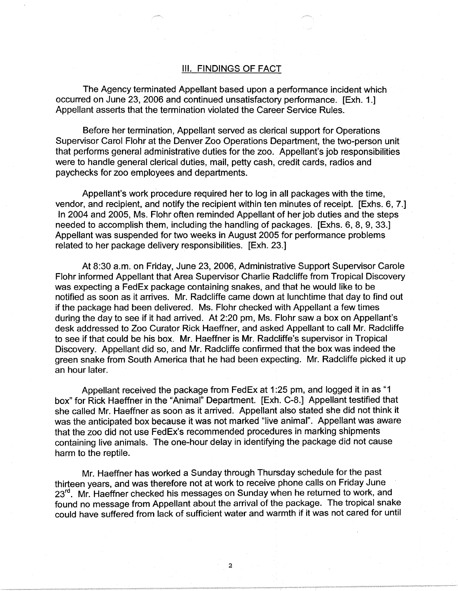## Ill. FINDINGS OF FACT

The Agency terminated Appellant based upon a performance incident which occurred on June 23, 2006 and continued unsatisfactory performance. [Exh. 1.] Appellant asserts that the termination violated the Career Service Rules.

Before her termination, Appellant served as clerical support for Operations Supervisor Carol Flohr at the Denver Zoo Operations Department, the two-person unit that performs general administrative duties for the zoo. Appellant's job responsibilities were to handle general clerical duties, mail, petty cash, credit cards, radios and paychecks for zoo employees and departments.

Appellant's work procedure required her to log in all packages with the time, vendor, and recipient, and notify the recipient within ten minutes of receipt. [Exhs. 6, 7.] In 2004 and 2005, Ms. Flohr often reminded Appellant of her job duties and the steps needed to accomplish them, including the handling of packages. [Exhs. 6, 8, 9, 33.] Appellant was suspended for two weeks in August 2005 for performance problems related to her package delivery responsibilities. [Exh. 23.]

At 8:30 a.m. on Friday, June 23, 2006, Administrative Support Supervisor Carole Flohr informed Appellant that Area Supervisor Charlie Radcliffe from Tropical Discovery was expecting a FedEx package containing snakes, and that he would like to be notified as soon as it arrives. Mr. Radcliffe came down at lunchtime that day to find out if the package had been delivered. Ms. Flohr checked with Appellant a few times during the day to see if it had arrived. At 2:20 pm, Ms. Flohr saw a box on Appellant's desk addressed to Zoo Curator Rick Haeffner, and asked Appellant to call Mr. Radcliffe to see if that could be his box. Mr. Haeffner is Mr. Radcliffe's supervisor in Tropical Discovery. Appellant did so, and Mr. Radcliffe confirmed that the box was indeed the green snake from South America that he had been expecting. Mr. Radcliffe picked it up an hour later.

Appellant received the package from FedEx at 1 :25 pm, and logged it in as "1 box" for Rick Haeffner in the "Animal" Department. [Exh. C-8.] Appellant testified that she called Mr. Haeffner as soon as it arrived. Appellant also stated she did not think it was the anticipated box because it was not marked "live animal". Appellant was aware that the zoo did not use FedEx's recommended procedures in marking shipments containing live animals. The one-hour delay in identifying the package did not cause harm to the reptile.

Mr. Haeffner has worked a Sunday through Thursday schedule for the past thirteen years, and was therefore not at work to receive phone calls on Friday June 23<sup>rd</sup>. Mr. Haeffner checked his messages on Sunday when he returned to work, and found no message from Appellant about the arrival of the package. The tropical snake could have suffered from lack of sufficient water and warmth if it was not cared for until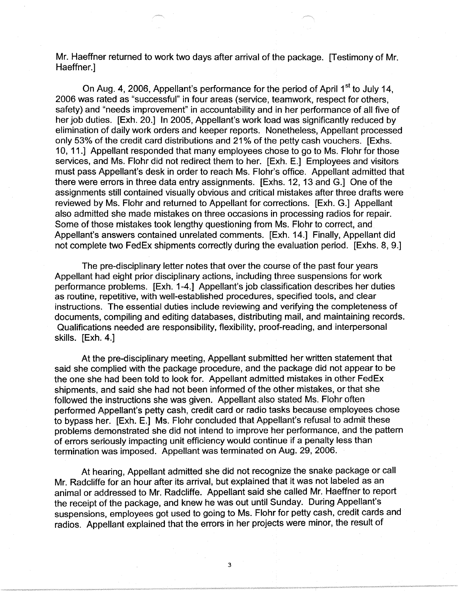Mr. Haeffner returned to work two days after arrival of the package. [Testimony of Mr. Haeffner.]

On Aug. 4, 2006, Appellant's performance for the period of April 1<sup>st</sup> to July 14. 2006 was rated as "successful" in four areas (service, teamwork, respect for others, safety) and "needs improvement" in accountability and in her performance of all five of her job duties. [Exh. 20.] In 2005, Appellant's work load was significantly reduced by elimination of daily work orders and keeper reports. Nonetheless, Appellant processed only 53% of the credit card distributions and 21 % of the petty cash vouchers. [Exhs. 10, 11.] Appellant responded that many employees chose to go to Ms. Flohr for those services, and Ms. Flohr did not redirect them to her. [Exh. E.] Employees and visitors must pass Appellant's desk in order to reach Ms. Flohr's office. Appellant admitted that there were errors in three data entry assignments. [Exhs. 12, 13 and G.] One of the assignments still contained visually obvious and critical mistakes after three drafts were reviewed by Ms. Flohr and returned to Appellant for corrections. [Exh. G.] Appellant also admitted she made mistakes on three occasions in processing radios for repair. Some of those mistakes took lengthy questioning from Ms. Flohr to correct, and Appellant's answers contained unrelated comments. [Exh. 14.] Finally, Appellant did not complete two FedEx shipments correctly during the evaluation period. [Exhs. 8, 9.]

The pre-disciplinary letter notes that over the course of the past four years Appellant had eight prior disciplinary actions, including three suspensions for work performance problems. [Exh. 1-4.] Appellant's job classification describes her duties as routine, repetitive, with well-established procedures, specified tools, and clear instructions. The essential duties include reviewing and verifying the completeness of documents, compiling and editing databases, distributing mail, and maintaining records. Qualifications needed are responsibility, flexibility, proof-reading, and interpersonal skills. [Exh. 4.]

At the pre-disciplinary meeting, Appellant submitted her written statement that said she complied with the package procedure, and the package did not appear to be the one she had been told to look for. Appellant admitted mistakes in other FedEx shipments, and said she had not been informed of the other mistakes, or that she followed the instructions she was given. Appellant also stated Ms. Flohr often performed Appellant's petty cash, credit card or radio tasks because employees chose to bypass her. [Exh. E.] Ms. Flohr concluded that Appellant's refusal to admit these problems demonstrated she did not intend to improve her performance, and the pattern of errors seriously impacting unit efficiency would continue if a penalty less than termination was imposed. Appellant was terminated on Aug. 29, 2006.

At hearing, Appellant admitted she did not recognize the snake package or call Mr. Radcliffe for an hour after its arrival, but explained that it was not labeled as an animal or addressed to Mr. Radcliffe. Appellant said she called Mr. Haeffner to report the receipt of the package, and knew he was out until Sunday. During Appellant's suspensions, employees got used to going to Ms. Flohr for petty cash, credit cards and radios. Appellant explained that the errors in her projects were minor, the result of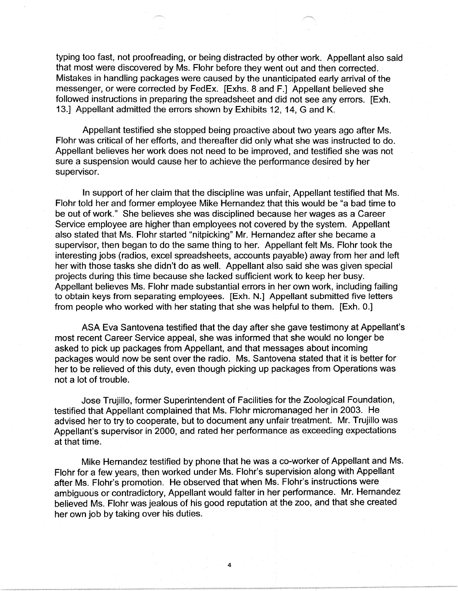typing too fast, not proofreading, or being distracted by other work. Appellant also said that most were discovered by Ms. Flohr before they went out and then corrected. Mistakes in handling packages were caused by the unanticipated early arrival of the messenger, or were corrected by FedEx. [Exhs. 8 and F.] Appellant believed she followed instructions in preparing the spreadsheet and did not see any errors. [Exh. 13.] Appellant admitted the errors shown by Exhibits 12, 14, G and K.

Appellant testified she stopped being proactive about two years ago after Ms. Flohr was critical of her efforts, and thereafter did only what she was instructed to do. Appellant believes her work does not need to be improved, and testified she was not sure a suspension would cause her to achieve the performance desired by her supervisor.

In support of her claim that the discipline was unfair, Appellant testified that Ms. Flohr told her and former employee Mike Hernandez that this would be "a bad time to be out of work." She believes she was disciplined because her wages as a Career Service employee are higher than employees not covered by the system. Appellant also stated that Ms. Flohr started "nitpicking" Mr. Hernandez after she became a supervisor, then began to do the same thing to her. Appellant felt Ms. Flohr took the interesting jobs (radios, excel spreadsheets, accounts payable) away from her and left her with those tasks she didn't do as well. Appellant also said she was given special projects during this time because she lacked sufficient work to keep her busy. Appellant believes Ms. Flohr made substantial errors in her own work, including failing to obtain keys from separating employees. [Exh. N.] Appellant submitted five letters from people who worked with her stating that she was helpful to them. [Exh. O.]

ASA Eva Santovena testified that the day after she gave testimony at Appellant's most recent Career Service appeal, she was informed that she would no longer be asked to pick up packages from Appellant, and that messages about incoming packages would now be sent over the radio. Ms. Santovena stated that it is better for her to be relieved of this duty, even though picking up packages from Operations was not a lot of trouble.

Jose Trujillo, former Superintendent of Facilities for the Zoological Foundation, testified that Appellant complained that Ms. Flohr micromanaged her in 2003. He advised her to try to cooperate, but to document any unfair treatment. Mr. Trujillo was Appellant's supervisor in 2000, and rated her performance as exceeding expectations at that time.

Mike Hernandez testified by phone that he was a co-worker of Appellant and Ms. Flohr for a few years, then worked under Ms. Flohr's supervision along with Appellant after Ms. Flohr's promotion. He observed that when Ms. Flohr's instructions were ambiguous or contradictory, Appellant would falter in her performance. Mr. Hernandez believed Ms. Flohr was jealous of his good reputation at the zoo, and that she created her own job by taking over his duties.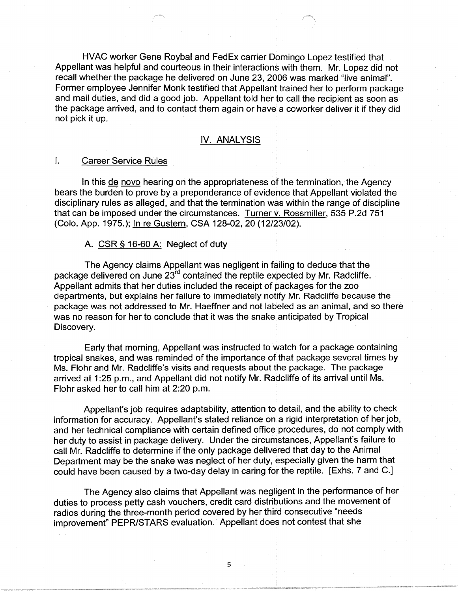HVAC worker Gene Roybal and FedEx carrier Domingo Lopez testified that Appellant was helpful and courteous in their interactions with them. Mr. Lopez did not recall whether the package he delivered on June 23, 2006 was marked "live animal". Former employee Jennifer Monk testified that Appellant trained her to perform package and mail duties, and did a good job. Appellant told her to call the recipient as soon as the package arrived, and to contact them again or have a coworker deliver it if they did not pick it up.

## IV. ANALYSIS

#### I. Career Service Rules

In this de novo hearing on the appropriateness of the termination, the Agency bears the burden to prove by a preponderance of evidence that Appellant violated the disciplinary rules as alleged, and that the termination was within the range of discipline that can be imposed under the circumstances. Turner v. Rossmiller, 535 P.2d 751 (Colo. App. 1975.); In re Gustern, CSA 128-02, 20 (12/23/02).

## A. CSR§ 16-60 A: Neglect of duty

The Agency claims Appellant was negligent in failing to deduce that the package delivered on June 23rd contained the reptile expected by Mr. Radcliffe. Appellant admits that her duties included the receipt of packages for the zoo departments, but explains her failure to immediately notify Mr. Radcliffe because the package was not addressed to Mr. Haeffner and not labeled as an animal, and so there was no reason for her to conclude that it was the snake anticipated by Tropical Discovery.

Early that morning, Appellant was instructed to watch for a package containing tropical snakes, and was reminded of the importance of that package several times by Ms. Flohr and Mr. Radcliffe's visits and requests about the package. The package arrived at 1:25 p.m., and Appellant did not notify Mr. Radcliffe of its arrival until Ms. Flohr asked her to call him at 2:20 p.m.

Appellant's job requires adaptability, attention to detail, and the ability to check information for accuracy. Appellant's stated reliance on a rigid interpretation of her job, and her technical compliance with certain defined office procedures, do not comply with her duty to assist in package delivery. Under the circumstances, Appellant's failure to call Mr. Radcliffe to determine if the only package delivered that day to the Animal Department may be the snake was neglect of her duty, especially given the harm that could have been caused by a two-day delay in caring for the reptile. [Exhs. 7 and C.]

The Agency also claims that Appellant was negligent in the performance of her duties to process petty cash vouchers, credit card distributions and the movement of radios during the three-month period covered by her third consecutive "needs improvement" PEPR/STARS evaluation. Appellant does not contest that she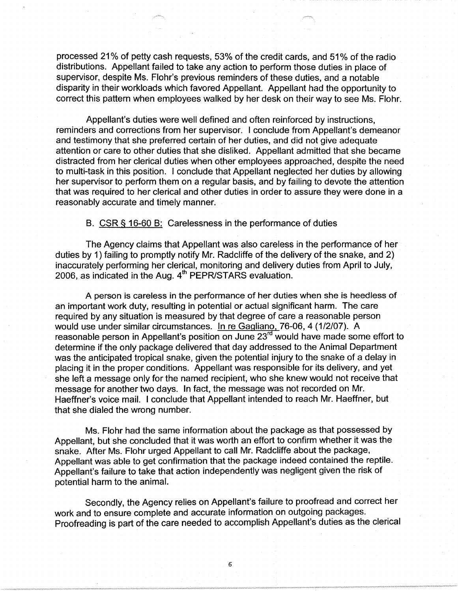processed 21 % of petty cash requests, 53% of the credit cards, and 51 % of the radio distributions. Appellant failed to take any action to perform those duties in place of supervisor, despite Ms. Flohr's previous reminders of these duties, and a notable disparity in their workloads which favored Appellant. Appellant had the opportunity to correct this pattern when employees walked by her desk on their way to see Ms. Flohr.

Appellant's duties were well defined and often reinforced by instructions, reminders and corrections from her supervisor. I conclude from Appellant's demeanor and testimony that she preferred certain of her duties, and did not give adequate attention or care to other duties that she disliked. Appellant admitted that she became distracted from her clerical duties when other employees approached, despite the need to multi-task in this position. I conclude that Appellant neglected her duties by allowing her supervisor to perform them on a regular basis, and by failing to devote the attention that was required to her clerical and other duties in order to assure they were done in a reasonably accurate and timely manner.

B. CSR § 16-60 B: Carelessness in the performance of duties

The Agency claims that Appellant was also careless in the performance of her duties by 1) failing to promptly notify Mr. Radcliffe of the delivery of the snake, and 2) inaccurately performing her clerical, monitoring and delivery duties from April to July, 2006, as indicated in the Aug.  $4<sup>th</sup>$  PEPR/STARS evaluation.

A person is careless in the performance of her duties when she is heedless of an important work duty, resulting in potential or actual significant harm. The care required by any situation is measured by that degree of care a reasonable person would use under similar circumstances. In re Gagliano, 76-06, 4 (1/2/07). A reasonable person in Appellant's position on June 23<sup>rd</sup> would have made some effort to determine if the only package delivered that day addressed to the Animal Department was the anticipated tropical snake, given the potential injury to the snake of a delay in placing it in the proper conditions. Appellant was responsible for its delivery, and yet she left a message only for the named recipient, who she knew would not receive that message for another two days. In fact, the message was not recorded on Mr. Haeffner's voice mail. I conclude that Appellant intended to reach Mr. Haeffner, but that she dialed the wrong number.

Ms. Flohr had the same information about the package as that possessed by Appellant, but she concluded that it was worth an effort to confirm whether it was the snake. After Ms. Flohr urged Appellant to call Mr. Radcliffe about the package, Appellant was able to get confirmation that the package indeed contained the reptile. Appellant's failure to take that action independently was negligent given the risk of potential harm to the animal.

Secondly, the Agency relies on Appellant's failure to proofread and correct her work and to ensure complete and accurate information on outgoing packages. Proofreading is part of the care needed to accomplish Appellant's duties as the clerical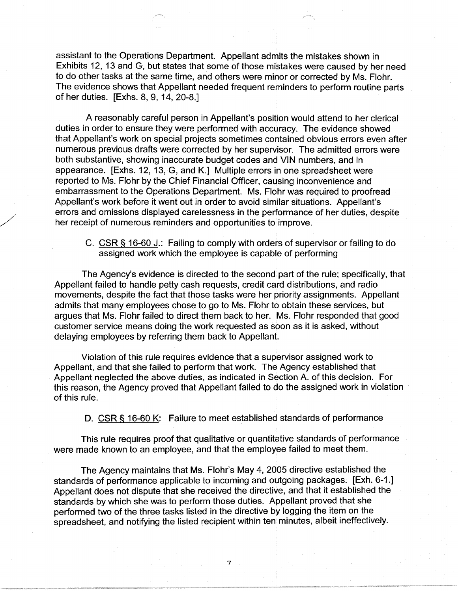assistant to the Operations Department. Appellant admits the mistakes shown in Exhibits 12, 13 and G, but states that some of those mistakes were caused by her need to do other tasks at the same time, and others were minor or corrected by Ms. Flohr. The evidence shows that Appellant needed frequent reminders to perform routine parts of her duties. [Exhs. 8, 9, 14, 20-8.]

A reasonably careful person in Appellant's position would attend to her clerical duties in order to ensure they were performed with accuracy. The evidence showed that Appellant's work on special projects sometimes contained obvious errors even after numerous previous drafts were corrected by her supervisor. The admitted errors were both substantive, showing inaccurate budget codes and VIN numbers, and in appearance. [Exhs. 12, 13, G, and K.] Multiple errors in one spreadsheet were reported to Ms. Flohr by the Chief Financial Officer, causing inconvenience and embarrassment to the Operations Department. Ms. Flohr was required to proofread Appellant's work before it went out in order to avoid similar situations. Appellant's errors and omissions displayed carelessness in the performance of her duties, despite her receipt of numerous reminders and opportunities to improve.

/

C. CSR§ 16-60 J.: Failing to comply with orders of supervisor or failing to do assigned work which the employee is capable of performing

The Agency's evidence is directed to the second part of the rule; specifically, that Appellant failed to handle petty cash requests, credit card distributions, and radio movements, despite the fact that those tasks were her priority assignments. Appellant admits that many employees chose to go to Ms. Flohr to obtain these services, but argues that Ms. Flohr failed to direct them back to her. Ms. Flohr responded that good customer service means doing the work requested as soon as it is asked, without delaying employees by referring them back to Appellant.

Violation of this rule requires evidence that a supervisor assigned work to Appellant, and that she failed to perform that work. The Agency established that Appellant neglected the above duties, as indicated in Section A. of this decision. For this reason, the Agency proved that Appellant failed to do the assigned work in violation of this rule.

D. CSR § 16-60 K: Failure to meet established standards of performance

This rule requires proof that qualitative or quantitative standards of performance were made known to an employee, and that the employee failed to meet them.

The Agency maintains that Ms. Flohr's May 4, 2005 directive established the standards of performance applicable to incoming and outgoing packages. [Exh. 6-1.] Appellant does not dispute that she received the directive, and that it established the standards by which she was to perform those duties. Appellant proved that she performed two of the three tasks listed in the directive by logging the item on the spreadsheet, and notifying the listed recipient within ten minutes, albeit ineffectively.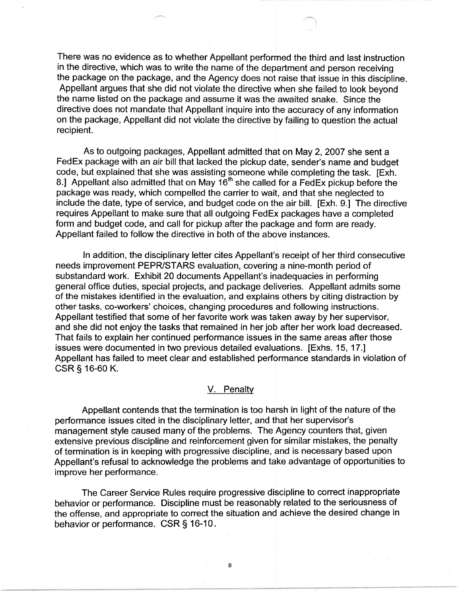There was no evidence as to whether Appellant performed the third and last instruction in the directive, which was to write the name of the department and person receiving the package on the package, and the Agency does not raise that issue in this discipline. Appellant argues that she did not violate the directive when she failed to look beyond the name listed on the package and assume it was the awaited snake. Since the directive does not mandate that Appellant inquire into the accuracy of any information on the package, Appellant did not violate the directive by failing to question the actual recipient.

As to outgoing packages, Appellant admitted that on May 2, 2007 she sent a FedEx package with an air bill that lacked the pickup date, sender's name and budget code, but explained that she was assisting someone while completing the task. [Exh. 8.] Appellant also admitted that on May  $16<sup>th</sup>$  she called for a FedEx pickup before the package was ready, which compelled the carrier to wait, and that she neglected to include the date, type of service, and budget code on the air bill. [Exh. 9.] The directive requires Appellant to make sure that all outgoing FedEx packages have a completed form and budget code, and call for pickup after the package and form are ready. Appellant failed to follow the directive in both of the above instances.

In addition, the disciplinary letter cites Appellant's receipt of her third consecutive needs improvement PEPR/STARS evaluation, covering a nine-month period of substandard work. Exhibit 20 documents Appellant's inadequacies in performing general office duties, special projects, and package deliveries. Appellant admits some of the mistakes identified in the evaluation, and explains others by citing distraction by other tasks, co-workers' choices, changing procedures and following instructions. Appellant testified that some of her favorite work was taken away by her supervisor, and she did not enjoy the tasks that remained in her job after her work load decreased. That fails to explain her continued performance issues in the same areas after those issues were documented in two previous detailed evaluations. [Exhs. 15, 17.] Appellant has failed to meet clear and established performance standards in violation of **CSR** § 16-60 K.

#### V. Penalty

Appellant contends that the termination is too harsh in light of the nature of the performance issues cited in the disciplinary letter, and that her supervisor's management style caused many of the problems. The Agency counters that, given extensive previous discipline and reinforcement given for similar mistakes, the penalty of termination is in keeping with progressive discipline, and is necessary based upon Appellant's refusal to acknowledge the problems and take advantage of opportunities to improve her performance.

The Career Service Rules require progressive discipline to correct inappropriate behavior or performance. Discipline must be reasonably related to the seriousness of the offense, and appropriate to correct the situation and achieve the desired change in behavior or performance. CSR§ 16-10.